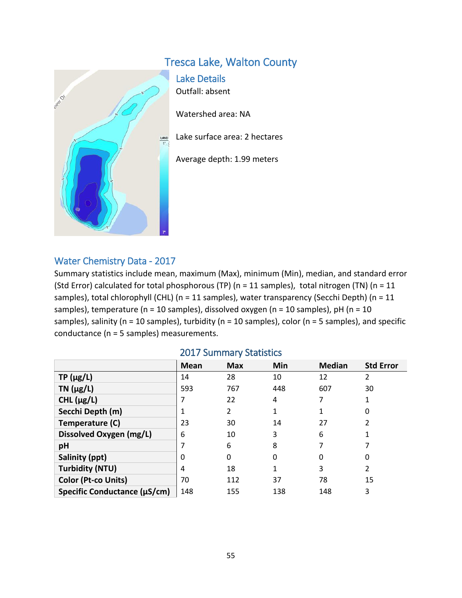

# Tresca Lake, Walton County

Lake Details Outfall: absent

Watershed area: NA

Lake surface area: 2 hectares

Average depth: 1.99 meters

#### Water Chemistry Data - 2017

Summary statistics include mean, maximum (Max), minimum (Min), median, and standard error (Std Error) calculated for total phosphorous (TP) (n = 11 samples), total nitrogen (TN) (n = 11 samples), total chlorophyll (CHL) (n = 11 samples), water transparency (Secchi Depth) (n = 11 samples), temperature ( $n = 10$  samples), dissolved oxygen ( $n = 10$  samples),  $pH$  ( $n = 10$ samples), salinity (n = 10 samples), turbidity (n = 10 samples), color (n = 5 samples), and specific conductance (n = 5 samples) measurements.

|                              | Mean | <b>Max</b> | Min      | <b>Median</b> | <b>Std Error</b> |
|------------------------------|------|------------|----------|---------------|------------------|
| $TP(\mu g/L)$                | 14   | 28         | 10       | 12            | 2                |
| $TN$ ( $\mu$ g/L)            | 593  | 767        | 448      | 607           | 30               |
| CHL $(\mu g/L)$              |      | 22         | 4        |               |                  |
| Secchi Depth (m)             |      | 2          | 1        |               | 0                |
| Temperature (C)              | 23   | 30         | 14       | 27            |                  |
| Dissolved Oxygen (mg/L)      | 6    | 10         | 3        | 6             |                  |
| pH                           |      | 6          | 8        |               |                  |
| Salinity (ppt)               | 0    | 0          | $\Omega$ | 0             | 0                |
| <b>Turbidity (NTU)</b>       | 4    | 18         | 1        | 3             | 2                |
| Color (Pt-co Units)          | 70   | 112        | 37       | 78            | 15               |
| Specific Conductance (µS/cm) | 148  | 155        | 138      | 148           | 3                |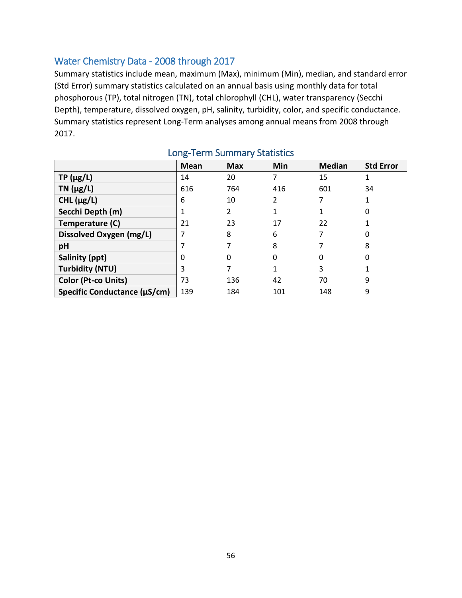## Water Chemistry Data - 2008 through 2017

Summary statistics include mean, maximum (Max), minimum (Min), median, and standard error (Std Error) summary statistics calculated on an annual basis using monthly data for total phosphorous (TP), total nitrogen (TN), total chlorophyll (CHL), water transparency (Secchi Depth), temperature, dissolved oxygen, pH, salinity, turbidity, color, and specific conductance. Summary statistics represent Long-Term analyses among annual means from 2008 through 2017.

|                              | <b>Mean</b> | <b>Max</b> | Min           | <b>Median</b> | <b>Std Error</b> |
|------------------------------|-------------|------------|---------------|---------------|------------------|
| $TP(\mu g/L)$                | 14          | 20         |               | 15            |                  |
| $TN$ ( $\mu$ g/L)            | 616         | 764        | 416           | 601           | 34               |
| CHL $(\mu g/L)$              | 6           | 10         | $\mathcal{P}$ |               |                  |
| Secchi Depth (m)             |             | 2          |               |               | 0                |
| Temperature (C)              | 21          | 23         | 17            | 22            |                  |
| Dissolved Oxygen (mg/L)      |             | 8          | 6             |               | 0                |
| pH                           |             |            | 8             |               | 8                |
| Salinity (ppt)               | 0           | 0          | 0             | 0             | 0                |
| <b>Turbidity (NTU)</b>       | 3           |            | 1             | 3             |                  |
| <b>Color (Pt-co Units)</b>   | 73          | 136        | 42            | 70            | 9                |
| Specific Conductance (µS/cm) | 139         | 184        | 101           | 148           | 9                |

## Long-Term Summary Statistics